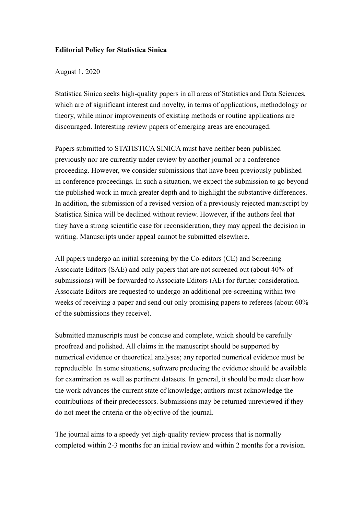## **Editorial Policy for Statistica Sinica**

## August 1, 2020

Statistica Sinica seeks high-quality papers in all areas of Statistics and Data Sciences, which are of significant interest and novelty, in terms of applications, methodology or theory, while minor improvements of existing methods or routine applications are discouraged. Interesting review papers of emerging areas are encouraged.

Papers submitted to STATISTICA SINICA must have neither been published previously nor are currently under review by another journal or a conference proceeding. However, we consider submissions that have been previously published in conference proceedings. In such a situation, we expect the submission to go beyond the published work in much greater depth and to highlight the substantive differences. In addition, the submission of a revised version of a previously rejected manuscript by Statistica Sinica will be declined without review. However, if the authors feel that they have a strong scientific case for reconsideration, they may appeal the decision in writing. Manuscripts under appeal cannot be submitted elsewhere.

All papers undergo an initial screening by the Co-editors (CE) and Screening Associate Editors (SAE) and only papers that are not screened out (about 40% of submissions) will be forwarded to Associate Editors (AE) for further consideration. Associate Editors are requested to undergo an additional pre-screening within two weeks of receiving a paper and send out only promising papers to referees (about 60% of the submissions they receive).

Submitted manuscripts must be concise and complete, which should be carefully proofread and polished. All claims in the manuscript should be supported by numerical evidence or theoretical analyses; any reported numerical evidence must be reproducible. In some situations, software producing the evidence should be available for examination as well as pertinent datasets. In general, it should be made clear how the work advances the current state of knowledge; authors must acknowledge the contributions of their predecessors. Submissions may be returned unreviewed if they do not meet the criteria or the objective of the journal.

The journal aims to a speedy yet high-quality review process that is normally completed within 2-3 months for an initial review and within 2 months for a revision.